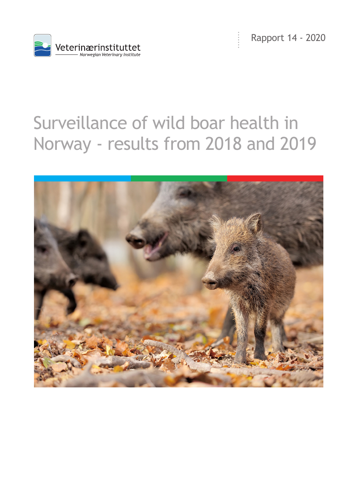



# Surveillance of wild boar health in Norway - results from 2018 and 2019

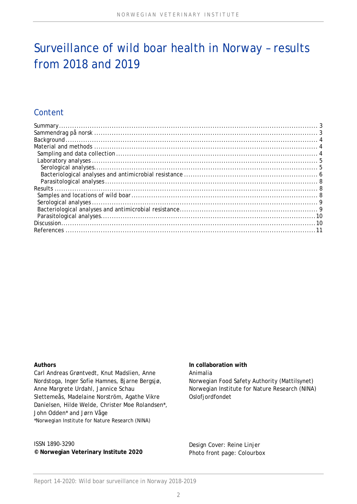## Surveillance of wild boar health in Norway – results from 2018 and 2019

## Content

#### **Authors**

Carl Andreas Grøntvedt, Knut Madslien, Anne Nordstoga, Inger Sofie Hamnes, Bjarne Bergsjø, Anne Margrete Urdahl, Jannice Schau Slettemeås, Madelaine Norström, Agathe Vikre Danielsen, Hilde Welde, Christer Moe Rolandsen\*, John Odden\* and Jørn Våge \*Norwegian Institute for Nature Research (NINA)

#### ISSN 1890-3290 **© Norwegian Veterinary Institute 2020**

#### **In collaboration with**  Animalia Norwegian Food Safety Authority (Mattilsynet) Norwegian Institute for Nature Research (NINA) Oslofjordfondet

Design Cover: Reine Linjer Photo front page: Colourbox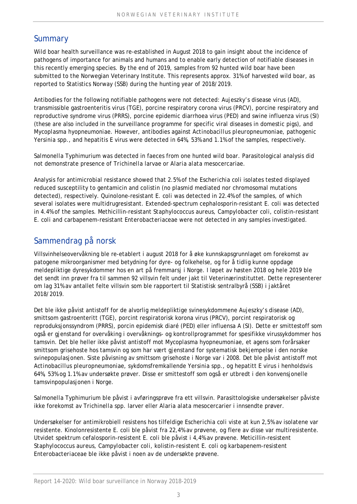## **Summary**

Wild boar health surveillance was re-established in August 2018 to gain insight about the incidence of pathogens of importance for animals and humans and to enable early detection of notifiable diseases in this recently emerging species. By the end of 2019, samples from 92 hunted wild boar have been submitted to the Norwegian Veterinary Institute. This represents approx. 31% of harvested wild boar, as reported to Statistics Norway (SSB) during the hunting year of 2018/2019.

Antibodies for the following notifiable pathogens were not detected: Aujeszky's disease virus (AD), transmissible gastroenteritis virus (TGE), porcine respiratory corona virus (PRCV), porcine respiratory and reproductive syndrome virus (PRRS), porcine epidemic diarrhoea virus (PED) and swine influenza virus (SI) (these are also included in the surveillance programme for specific viral diseases in domestic pigs), and *Mycoplasma hyopneumoniae*. However, antibodies against *Actinobacillus pleuropneumoniae*, pathogenic *Yersinia* spp., and hepatitis E virus were detected in 64%, 53% and 1.1% of the samples, respectively.

*Salmonella* Typhimurium was detected in faeces from one hunted wild boar. Parasitological analysis did not demonstrate presence of *Trichinella* larvae or *Alaria alata* mesocercariae.

Analysis for antimicrobial resistance showed that 2.5% of the *Escherichia coli* isolates tested displayed reduced susceptility to gentamicin and colistin (no plasmid mediated nor chromosomal mutations detected), respectively. Quinolone-resistant *E. coli* was detected in 22.4% of the samples, of which several isolates were multidrugresistant. Extended-spectrum cephalosporin-resistant *E. coli* was detected in 4.4% of the samples. Methicillin-resistant *Staphylococcus aureus*, *Campylobacter coli*, colistin-resistant *E. coli* and carbapenem-resistant *Enterobacteriaceae* were not detected in any samples investigated.

## Sammendrag på norsk

Villsvinhelseovervåkning ble re-etablert i august 2018 for å øke kunnskapsgrunnlaget om forekomst av patogene mikroorganismer med betydning for dyre- og folkehelse, og for å tidlig kunne oppdage meldepliktige dyresykdommer hos en art på fremmarsj i Norge. I løpet av høsten 2018 og hele 2019 ble det sendt inn prøver fra til sammen 92 villsvin felt under jakt til Veterinærinstituttet. Dette representerer om lag 31% av antallet felte villsvin som ble rapportert til Statistisk sentralbyrå (SSB) i jaktåret 2018/2019.

Det ble ikke påvist antistoff for de alvorlig meldepliktige svinesykdommene Aujeszky's disease (AD), smittsom gastroenteritt (TGE), porcint respiratorisk korona virus (PRCV), porcint respiratorisk og reproduksjonssyndrom (PRRS), porcin epidemisk diaré (PED) eller influensa A (SI). Dette er smittestoff som også er gjenstand for overvåking i overvåknings- og kontrollprogrammet for spesifikke virussykdommer hos tamsvin. Det ble heller ikke påvist antistoff mot *Mycoplasma hyopneumoniae*, et agens som forårsaker smittsom grisehoste hos tamsvin og som har vært gjenstand for systematisk bekjempelse i den norske svinepopulasjonen. Siste påvisning av smittsom grisehoste i Norge var i 2008. Det ble påvist antistoff mot *Actinobacillus pleuropneumoniae*, sykdomsfremkallende *Yersinia* spp., og hepatitt E virus i henholdsvis 64%, 53% og 1.1% av undersøkte prøver. Disse er smittestoff som også er utbredt i den konvensjonelle tamsvinpopulasjonen i Norge.

*Salmonella* Typhimurium ble påvist i avføringsprøve fra ett villsvin. Parasittologiske undersøkelser påviste ikke forekomst av *Trichinella* spp. larver eller *Alaria alata* mesocercarier i innsendte prøver.

Undersøkelser for antimikrobiell resistens hos tilfeldige *Escherichia coli* viste at kun 2,5% av isolatene var resistente. Kinolonresistente *E. coli* ble påvist fra 22,4% av prøvene, og flere av disse var multiresistente. Utvidet spektrum cefalosporin-resistent *E. coli* ble påvist i 4,4% av prøvene. Meticillin-resistent *Staphylococcus aureus*, *Campylobacter coli*, kolistin-resistent *E. coli* og karbapenem-resistent *Enterobacteriaceae* ble ikke påvist i noen av de undersøkte prøvene.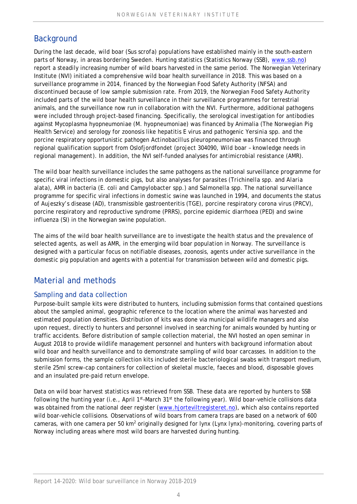## **Background**

During the last decade, wild boar (*Sus scrofa*) populations have established mainly in the south-eastern parts of Norway, in areas bordering Sweden. Hunting statistics (Statistics Norway (SSB), www.ssb.no) report a steadily increasing number of wild boars harvested in the same period. The Norwegian Veterinary Institute (NVI) initiated a comprehensive wild boar health surveillance in 2018. This was based on a surveillance programme in 2014, financed by the Norwegian Food Safety Authority (NFSA) and discontinued because of low sample submission rate. From 2019, the Norwegian Food Safety Authority included parts of the wild boar health surveillance in their surveillance programmes for terrestrial animals, and the surveillance now run in collaboration with the NVI. Furthermore, additional pathogens were included through project-based financing. Specifically, the serological investigation for antibodies against *Mycoplasma hyopneumoniae* (*M. hyopneumoniae*) was financed by Animalia (The Norwegian Pig Health Service) and serology for zoonosis like hepatitis E virus and pathogenic *Yersinia* spp*.* and the porcine respiratory opportunistic pathogen *Actinobacillus pleuropneumoniae* was financed through regional qualification support from Oslofjordfondet (project 304090, *Wild boar – knowledge needs in regional management*). In addition, the NVI self-funded analyses for antimicrobial resistance (AMR).

The wild boar health surveillance includes the same pathogens as the national surveillance programme for specific viral infections in domestic pigs, but also analyses for parasites (*Trichinella* spp. and *Alaria alata*), AMR in bacteria (*E. coli* and *Campylobacter* spp.) and *Salmonella* spp. The national surveillance programme for specific viral infections in domestic swine was launched in 1994, and documents the status of Aujeszky's disease (AD), transmissible gastroenteritis (TGE), porcine respiratory corona virus (PRCV), porcine respiratory and reproductive syndrome (PRRS), porcine epidemic diarrhoea (PED) and swine influenza (SI) in the Norwegian swine population.

The aims of the wild boar health surveillance are to investigate the health status and the prevalence of selected agents, as well as AMR, in the emerging wild boar population in Norway. The surveillance is designed with a particular focus on notifiable diseases, zoonosis, agents under active surveillance in the domestic pig population and agents with a potential for transmission between wild and domestic pigs.

## Material and methods

### Sampling and data collection

Purpose-built sample kits were distributed to hunters, including submission forms that contained questions about the sampled animal, geographic reference to the location where the animal was harvested and estimated population densities. Distribution of kits was done via municipal wildlife managers and also upon request, directly to hunters and personnel involved in searching for animals wounded by hunting or traffic accidents. Before distribution of sample collection material, the NVI hosted an open seminar in August 2018 to provide wildlife management personnel and hunters with background information about wild boar and health surveillance and to demonstrate sampling of wild boar carcasses. In addition to the submission forms, the sample collection kits included sterile bacteriological swabs with transport medium, sterile 25ml screw-cap containers for collection of skeletal muscle, faeces and blood, disposable gloves and an insulated pre-paid return envelope.

Data on wild boar harvest statistics was retrieved from SSB. These data are reported by hunters to SSB following the hunting year (i.e., April 1<sup>st</sup>-March 31<sup>st</sup> the following year). Wild boar-vehicle collisions data was obtained from the national deer register (www.hjorteviltregisteret.no), which also contains reported wild boar-vehicle collisions. Observations of wild boars from camera traps are based on a network of 600 cameras, with one camera per 50 km<sup>2</sup> originally designed for lynx (*Lynx lynx*)-monitoring, covering parts of Norway including areas where most wild boars are harvested during hunting.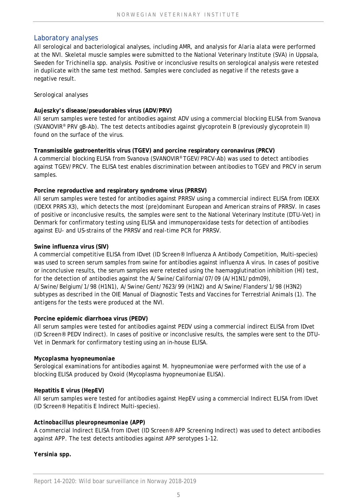#### Laboratory analyses

All serological and bacteriological analyses, including AMR, and analysis for *Alaria alata* were performed at the NVI. Skeletal muscle samples were submitted to the National Veterinary Institute (SVA) in Uppsala, Sweden for *Trichinella* spp. analysis. Positive or inconclusive results on serological analysis were retested in duplicate with the same test method. Samples were concluded as negative if the retests gave a negative result.

#### *Serological analyses*

#### **Aujeszky's disease/pseudorabies virus (ADV/PRV)**

All serum samples were tested for antibodies against ADV using a commercial blocking ELISA from Svanova (SVANOVIR® PRV gB-Ab). The test detects antibodies against glycoprotein B (previously glycoprotein II) found on the surface of the virus.

**Transmissible gastroenteritis virus (TGEV) and porcine respiratory coronavirus (PRCV)**  A commercial blocking ELISA from Svanova (SVANOVIR® TGEV/PRCV-Ab) was used to detect antibodies against TGEV/PRCV. The ELISA test enables discrimination between antibodies to TGEV and PRCV in serum samples.

#### **Porcine reproductive and respiratory syndrome virus (PRRSV)**

All serum samples were tested for antibodies against PRRSV using a commercial indirect ELISA from IDEXX (IDEXX PRRS X3), which detects the most (pre)dominant European and American strains of PRRSV. In cases of positive or inconclusive results, the samples were sent to the National Veterinary Institute (DTU-Vet) in Denmark for confirmatory testing using ELISA and immunoperoxidase tests for detection of antibodies against EU- and US-strains of the PRRSV and real-time PCR for PRRSV.

#### **Swine influenza virus (SIV)**

A commercial competitive ELISA from IDvet (ID Screen® Influenza A Antibody Competition, Multi-species) was used to screen serum samples from swine for antibodies against influenza A virus. In cases of positive or inconclusive results, the serum samples were retested using the haemagglutination inhibition (HI) test, for the detection of antibodies against the A/Swine/California/07/09 (A/H1N1/pdm09), A/Swine/Belgium/1/98 (H1N1), A/Swine/Gent/7623/99 (H1N2) and A/Swine/Flanders/1/98 (H3N2) subtypes as described in the OIE Manual of Diagnostic Tests and Vaccines for Terrestrial Animals (1). The antigens for the tests were produced at the NVI.

#### **Porcine epidemic diarrhoea virus (PEDV)**

All serum samples were tested for antibodies against PEDV using a commercial indirect ELISA from IDvet (ID Screen® PEDV Indirect). In cases of positive or inconclusive results, the samples were sent to the DTU-Vet in Denmark for confirmatory testing using an in-house ELISA.

#### *Mycoplasma hyopneumoniae*

Serological examinations for antibodies against *M. hyopneumoniae* were performed with the use of a blocking ELISA produced by Oxoid (*Mycoplasma hyopneumoniae* ELISA).

#### **Hepatitis E virus (HepEV)**

All serum samples were tested for antibodies against HepEV using a commercial Indirect ELISA from IDvet (ID Screen® Hepatitis E Indirect Multi-species).

#### *Actinobacillus pleuropneumoniae* **(APP)**

A commercial Indirect ELISA from IDvet (ID Screen® APP Screening Indirect) was used to detect antibodies against APP. The test detects antibodies against APP serotypes 1-12.

*Yersinia spp.*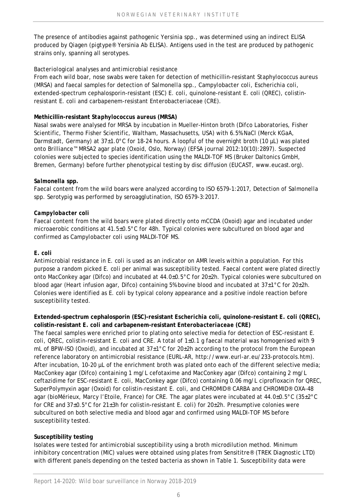The presence of antibodies against pathogenic *Yersinia* spp., was determined using an indirect ELISA produced by Qiagen (*pigtype*® Yersinia Ab ELISA). Antigens used in the test are produced by pathogenic strains only, spanning all serotypes.

#### *Bacteriological analyses and antimicrobial resistance*

From each wild boar, nose swabs were taken for detection of methicillin-resistant *Staphylococcus aureus*  (MRSA) and faecal samples for detection of *Salmonella* spp., *Campylobacter coli*, *Escherichia coli*, extended-spectrum cephalosporin-resistant (ESC) *E. coli*, quinolone-resistant *E. coli* (QREC), colistinresistant *E. coli* and carbapenem-resistant *Enterobacteriaceae* (CRE).

#### **Methicillin-resistant** *Staphylococcus aureus* **(MRSA)**

Nasal swabs were analysed for MRSA by incubation in Mueller-Hinton broth (Difco Laboratories, Fisher Scientific, Thermo Fisher Scientific, Waltham, Massachusetts, USA) with 6.5% NaCl (Merck KGaA, Darmstadt, Germany) at 37±1.0°C for 18-24 hours. A loopful of the overnight broth (10 µL) was plated onto Brilliance™ MRSA2 agar plate (Oxoid, Oslo, Norway) (EFSA journal 2012:10(10):2897). Suspected colonies were subjected to species identification using the MALDI-TOF MS (Bruker Daltonics GmbH, Bremen, Germany) before further phenotypical testing by disc diffusion (EUCAST, www.eucast.org).

#### *Salmonella* **spp.**

Faecal content from the wild boars were analyzed according to ISO 6579-1:2017, Detection of *Salmonella* spp. Serotypig was performed by seroagglutination, ISO 6579-3:2017.

#### *Campylobacter coli*

Faecal content from the wild boars were plated directly onto mCCDA (Oxoid) agar and incubated under microaerobic conditions at 41.5±0.5°C for 48h. Typical colonies were subcultured on blood agar and confirmed as *Campylobacter coli* using MALDI-TOF MS.

#### *E. coli*

Antimicrobial resistance in *E. coli* is used as an indicator on AMR levels within a population. For this purpose a random picked *E. coli* per animal was susceptibility tested. Faecal content were plated directly onto MacConkey agar (Difco) and incubated at  $44.0\pm0.5^{\circ}$ C for  $20\pm2h$ . Typical colonies were subcultured on blood agar (Heart infusion agar, Difco) containing 5% bovine blood and incubated at  $37\pm1\degree$ C for  $20\pm2h$ . Colonies were identified as *E. coli* by typical colony appearance and a positive indole reaction before susceptibility tested.

#### **Extended-spectrum cephalosporin (ESC)-resistant** *Escherichia coli***, quinolone-resistant** *E. coli* **(QREC), colistin-resistant** *E. coli* **and carbapenem-resistant** *Enterobacteriaceae* **(CRE)**

The faecal samples were enriched prior to plating onto selective media for detection of ESC-resistant *E. coli*, QREC, colistin-resistant *E. coli* and CRE. A total of 1±0.1 g faecal material was homogenised with 9 mL of BPW-ISO (Oxoid), and incubated at  $37\pm1^{\circ}$ C for 20 $\pm$ 2h according to the protocol from the European reference laboratory on antimicrobial resistance (EURL-AR, http://www.eurl-ar.eu/233-protocols.htm). After incubation, 10-20 µL of the enrichment broth was plated onto each of the different selective media; MacConkey agar (Difco) containing 1 mg/L cefotaxime and MacConkey agar (Difco) containing 2 mg/L ceftazidime for ESC-resistant *E. coli*, MacConkey agar (Difco) containing 0.06 mg/L ciprofloxacin for QREC, SuperPolymyxin agar (Oxoid) for colistin-resistant *E. coli*, and CHROMID® CARBA and CHROMID® OXA-48 agar (bioMérieux, Marcy l'Etoile, France) for CRE. The agar plates were incubated at 44.0±0.5°C (35±2°C for CRE and 37±0.5°C for 21±3h for colistin-resistant *E. coli*) for 20±2h. Presumptive colonies were subcultured on both selective media and blood agar and confirmed using MALDI-TOF MS before susceptibility tested.

#### **Susceptibility testing**

Isolates were tested for antimicrobial susceptibility using a broth microdilution method. Minimum inhibitory concentration (MIC) values were obtained using plates from Sensititre® (TREK Diagnostic LTD) with different panels depending on the tested bacteria as shown in Table 1. Susceptibility data were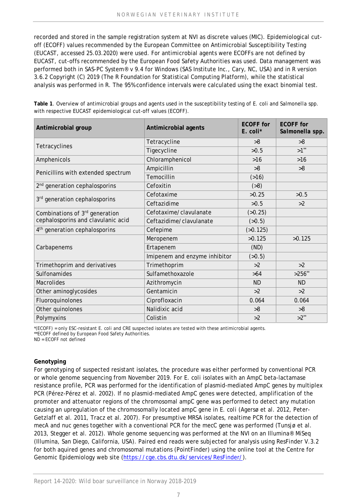recorded and stored in the sample registration system at NVI as discrete values (MIC). Epidemiological cutoff (ECOFF) values recommended by the European Committee on Antimicrobial Susceptibility Testing (EUCAST, accessed 25.03.2020) were used. For antimicrobial agents were ECOFFs are not defined by EUCAST, cut-offs recommended by the European Food Safety Authorities was used. Data management was performed both in SAS-PC System® v 9.4 for Windows (SAS Institute Inc., Cary, NC, USA) and in R version 3.6.2 Copyright (C) 2019 (The R Foundation for Statistical Computing Platform), while the statistical analysis was performed in R. The 95% confidence intervals were calculated using the exact binomial test.

**Table 1**. Overview of antimicrobial groups and agents used in the susceptibility testing of *E. coli* and *Salmonella* spp. with respective EUCAST epidemiological cut-off values (ECOFF).

| Antimicrobial group                       | Antimicrobial agents          | <b>ECOFF</b> for<br>$E$ . coli <sup>*</sup> | <b>ECOFF</b> for<br>Salmonella spp. |  |
|-------------------------------------------|-------------------------------|---------------------------------------------|-------------------------------------|--|
|                                           | Tetracycline                  | >8                                          | >8                                  |  |
| Tetracyclines                             | Tigecycline                   | >0.5                                        | $>1$ <sup>**</sup>                  |  |
| Amphenicols                               | Chloramphenicol               | $>16$                                       | $>16$                               |  |
|                                           | Ampicillin                    | >8                                          | >8                                  |  |
| Penicillins with extended spectrum        | Temocillin                    | (516)                                       |                                     |  |
| 2 <sup>nd</sup> generation cephalosporins | Cefoxitin                     | ( >8)                                       |                                     |  |
| 3rd generation cephalosporins             | Cefotaxime                    | >0.25                                       | >0.5                                |  |
|                                           | Ceftazidime                   | >0.5                                        | >2                                  |  |
| Combinations of 3rd generation            | Cefotaxime/clavulanate        | (>0.25)                                     |                                     |  |
| cephalosporins and clavulanic acid        | Ceftazidime/clavulanate       | (50.5)                                      |                                     |  |
| 4 <sup>th</sup> generation cephalosporins | Cefepime                      | (50.125)                                    |                                     |  |
|                                           | Meropenem                     | >0.125                                      | >0.125                              |  |
| Carbapenems                               | Ertapenem                     | (ND)                                        |                                     |  |
|                                           | Imipenem and enzyme inhibitor | (50.5)                                      |                                     |  |
| Trimethoprim and derivatives              | Trimethoprim                  | >2                                          | >2                                  |  |
| Sulfonamides                              | Sulfamethoxazole              | >64                                         | $>256$ **                           |  |
| <b>Macrolides</b>                         | Azithromycin                  | <b>ND</b>                                   | <b>ND</b>                           |  |
| Other aminoglycosides                     | Gentamicin                    | >2                                          | >2                                  |  |
| Fluoroquinolones                          | Ciprofloxacin                 | 0.064                                       | 0.064                               |  |
| Other quinolones                          | Nalidixic acid                | >8                                          | >8                                  |  |
| Polymyxins                                | Colistin                      | >2                                          | $>2$ <sup>**</sup>                  |  |

\*(ECOFF) = only ESC-resistant *E. coli* and CRE suspected isolates are tested with these antimicrobial agents.

\*\*ECOFF defined by European Food Safety Authorities.

ND = ECOFF not defined

#### **Genotyping**

For genotyping of suspected resistant isolates, the procedure was either performed by conventional PCR or whole genome sequencing from November 2019. For *E. coli* isolates with an AmpC beta-lactamase resistance profile, PCR was performed for the identification of plasmid-mediated AmpC genes by multiplex PCR (Pérez-Pérez et al. 2002). If no plasmid-mediated AmpC genes were detected, amplification of the promoter and attenuator regions of the chromosomal *ampC* gene was performed to detect any mutation causing an upregulation of the chromosomally located *ampC* gene in *E. coli* (Agersø et al. 2012, Peter-Getzlaff et al. 2011, Tracz et al. 2007). For presumptive MRSA isolates, realtime PCR for the detection of *mecA* and *nuc* genes together with a conventional PCR for the *mecC* gene was performed (Tunsjø et al. 2013, Stegger et al. 2012). Whole genome sequencing was performed at the NVI on an Illumina® MiSeq (Illumina, San Diego, California, USA). Paired end reads were subjected for analysis using ResFinder V.3.2 for both aquired genes and chromosomal mutations (PointFinder) using the online tool at the Centre for Genomic Epidemiology web site (https://cge.cbs.dtu.dk/services/ResFinder/).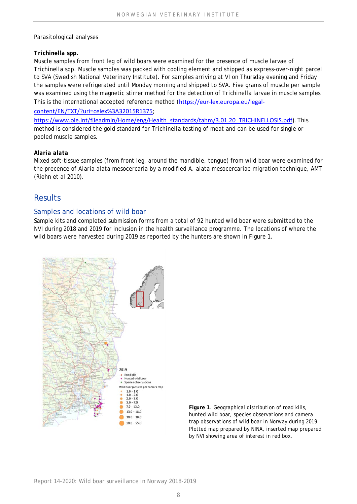#### *Parasitological analyses*

#### *Trichinella* **spp.**

Muscle samples from front leg of wild boars were examined for the presence of muscle larvae of *Trichinella* spp. Muscle samples was packed with cooling element and shipped as express-over-night parcel to SVA (Swedish National Veterinary Institute). For samples arriving at VI on Thursday evening and Friday the samples were refrigerated until Monday morning and shipped to SVA. Five grams of muscle per sample was examined using the magnetic stirrer method for the detection of *Trichinella* larvae in muscle samples This is the international accepted reference method (https://eur-lex.europa.eu/legal-

#### content/EN/TXT/?uri=celex%3A32015R1375;

https://www.oie.int/fileadmin/Home/eng/Health\_standards/tahm/3.01.20\_TRICHINELLOSIS.pdf). This method is considered the gold standard for *Trichinella* testing of meat and can be used for single or pooled muscle samples.

#### *Alaria alata*

Mixed soft-tissue samples (from front leg, around the mandible, tongue) from wild boar were examined for the precence of *Alaria alata* mesocercaria by a modified *A. alata* mesocercariae migration technique, AMT (Riehn et al 2010).

## **Results**

#### Samples and locations of wild boar

Sample kits and completed submission forms from a total of 92 hunted wild boar were submitted to the NVI during 2018 and 2019 for inclusion in the health surveillance programme. The locations of where the wild boars were harvested during 2019 as reported by the hunters are shown in Figure 1.



**Figure 1**. Geographical distribution of road kills, hunted wild boar, species observations and camera trap observations of wild boar in Norway during 2019. Plotted map prepared by NINA, inserted map prepared by NVI showing area of interest in red box.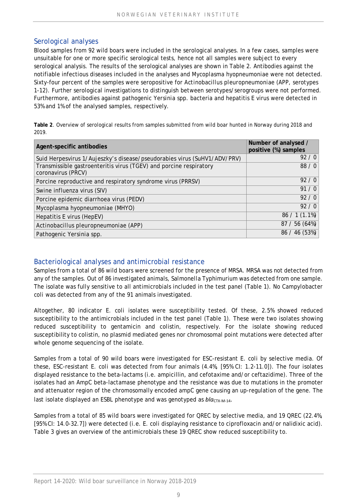#### Serological analyses

Blood samples from 92 wild boars were included in the serological analyses. In a few cases, samples were unsuitable for one or more specific serological tests, hence not all samples were subject to every serological analysis. The results of the serological analyses are shown in Table 2. Antibodies against the notifiable infectious diseases included in the analyses and *Mycoplasma hyopneumoniae* were not detected. Sixty-four percent of the samples were seropositive for *Actinobacillus pleuropneumoniae* (APP, serotypes 1-12). Further serological investigations to distinguish between serotypes/serogroups were not performed. Furthermore, antibodies against pathogenic *Yersinia* spp. bacteria and hepatitis E virus were detected in 53% and 1% of the analysed samples, respectively.

**Table 2**. Overview of serological results from samples submitted from wild boar hunted in Norway during 2018 and 2019.

| Agent-specific antibodies                                                                | Number of analysed /<br>positive (%) samples |
|------------------------------------------------------------------------------------------|----------------------------------------------|
| Suid Herpesvirus 1/Aujeszky's disease/pseudorabies virus (SuHV1/ADV/PRV)                 | 92/0                                         |
| Transmissible gastroenteritis virus (TGEV) and porcine respiratory<br>coronavirus (PRCV) | 88/0                                         |
| Porcine reproductive and respiratory syndrome virus (PRRSV)                              | 92/0                                         |
| Swine influenza virus (SIV)                                                              | 91/0                                         |
| Porcine epidemic diarrhoea virus (PEDV)                                                  | 92/0                                         |
| Mycoplasma hyopneumoniae (MHYO)                                                          | 92/0                                         |
| Hepatitis E virus (HepEV)                                                                | $86 / 1(1.1\%)$                              |
| Actinobacillus pleuropneumoniae (APP)                                                    | 87 / 56 (64%)                                |
| Pathogenic Yersinia spp.                                                                 | 86 / 46 (53%)                                |

#### Bacteriological analyses and antimicrobial resistance

Samples from a total of 86 wild boars were screened for the presence of MRSA. MRSA was not detected from any of the samples. Out of 86 investigated animals, *Salmonella* Typhimurium was detected from one sample. The isolate was fully sensitive to all antimicrobials included in the test panel (Table 1). No *Campylobacter coli* was detected from any of the 91 animals investigated.

Altogether, 80 indicator *E. coli* isolates were susceptibility tested. Of these, 2.5% showed reduced susceptibility to the antimicrobials included in the test panel (Table 1). These were two isolates showing reduced susceptibility to gentamicin and colistin, respectively. For the isolate showing reduced susceptibility to colistin, no plasmid mediated genes nor chromosomal point mutations were detected after whole genome sequencing of the isolate.

Samples from a total of 90 wild boars were investigated for ESC-resistant *E. coli* by selective media. Of these, ESC-resistant *E. coli* was detected from four animals (4.4%, [95% CI: 1.2-11.0]). The four isolates displayed resistance to the beta-lactams (i.e. ampicillin, and cefotaxime and/or ceftazidime). Three of the isolates had an AmpC beta-lactamase phenotype and the resistance was due to mutations in the promoter and attenuator region of the chromosomally encoded *ampC* gene causing an up-regulation of the gene. The last isolate displayed an ESBL phenotype and was genotyped as  $bla_{CTX-M-14}$ .

Samples from a total of 85 wild boars were investigated for QREC by selective media, and 19 QREC (22.4%, [95% CI: 14.0-32.7]) were detected (i.e. *E. coli* displaying resistance to ciprofloxacin and/or nalidixic acid). Table 3 gives an overview of the antimicrobials these 19 QREC show reduced susceptibility to.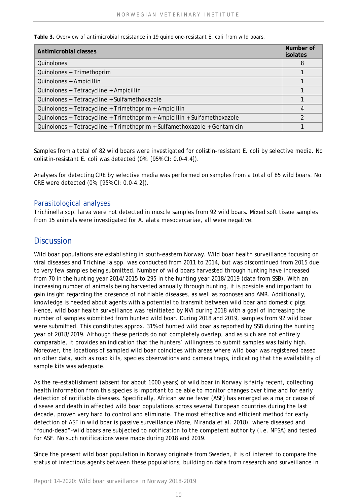**Table 3.** Overview of antimicrobial resistance in 19 quinolone-resistant *E. coli* from wild boars.

| Antimicrobial classes                                                    | Number of<br><i>isolates</i> |
|--------------------------------------------------------------------------|------------------------------|
| Quinolones                                                               | 8                            |
| Quinolones + Trimethoprim                                                |                              |
| Quinolones + Ampicillin                                                  |                              |
| Quinolones + Tetracycline + Ampicillin                                   |                              |
| Quinolones + Tetracycline + Sulfamethoxazole                             |                              |
| Quinolones + Tetracycline + Trimethoprim + Ampicillin                    | 4                            |
| Quinolones + Tetracycline + Trimethoprim + Ampicillin + Sulfamethoxazole |                              |
| Quinolones + Tetracycline + Trimethoprim + Sulfamethoxazole + Gentamicin |                              |

Samples from a total of 82 wild boars were investigated for colistin-resistant *E. coli* by selective media. No colistin-resistant *E. coli* was detected (0%, [95% CI: 0.0-4.4]).

Analyses for detecting CRE by selective media was performed on samples from a total of 85 wild boars*.* No CRE were detected (0%, [95% CI: 0.0-4.2]).

#### Parasitological analyses

*Trichinella* spp. larva were not detected in muscle samples from 92 wild boars. Mixed soft tissue samples from 15 animals were investigated for *A. alata* mesocercariae, all were negative.

## **Discussion**

Wild boar populations are establishing in south-eastern Norway. Wild boar health surveillance focusing on viral diseases and *Trichinella* spp. was conducted from 2011 to 2014, but was discontinued from 2015 due to very few samples being submitted. Number of wild boars harvested through hunting have increased from 70 in the hunting year 2014/2015 to 295 in the hunting year 2018/2019 (data from SSB). With an increasing number of animals being harvested annually through hunting, it is possible and important to gain insight regarding the presence of notifiable diseases, as well as zoonoses and AMR. Additionally, knowledge is needed about agents with a potential to transmit between wild boar and domestic pigs. Hence, wild boar health surveillance was reinitiated by NVI during 2018 with a goal of increasing the number of samples submitted from hunted wild boar. During 2018 and 2019, samples from 92 wild boar were submitted. This constitutes approx. 31% of hunted wild boar as reported by SSB during the hunting year of 2018/2019. Although these periods do not completely overlap, and as such are not entirely comparable, it provides an indication that the hunters' willingness to submit samples was fairly high. Moreover, the locations of sampled wild boar coincides with areas where wild boar was registered based on other data, such as road kills, species observations and camera traps, indicating that the availability of sample kits was adequate.

As the re-establishment (absent for about 1000 years) of wild boar in Norway is fairly recent, collecting health information from this species is important to be able to monitor changes over time and for early detection of notifiable diseases. Specifically, African swine fever (ASF) has emerged as a major cause of disease and death in affected wild boar populations across several European countries during the last decade, proven very hard to control and eliminate. The most effective and efficient method for early detection of ASF in wild boar is passive surveillance (More, Miranda et al. 2018), where diseased and "found-dead"-wild boars are subjected to notification to the competent authority (i.e. NFSA) and tested for ASF. No such notifications were made during 2018 and 2019.

Since the present wild boar population in Norway originate from Sweden, it is of interest to compare the status of infectious agents between these populations, building on data from research and surveillance in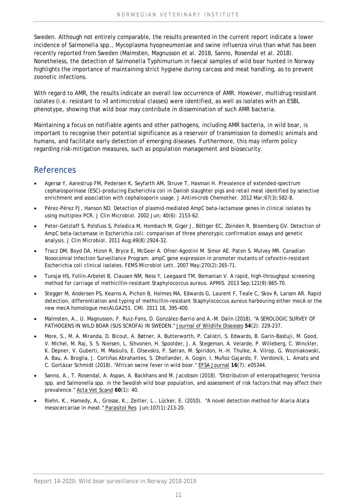Sweden. Although not entirely comparable, the results presented in the current report indicate a lower incidence of *Salmonella* spp., *Mycoplasma hyopneumoniae* and swine influenza virus than what has been recently reported from Sweden (Malmsten, Magnusson et al. 2018, Sanno, Rosendal et al. 2018). Nonetheless, the detection of *Salmonella* Typhimurium in faecal samples of wild boar hunted in Norway highlights the importance of maintaining strict hygiene during carcass and meat handling, as to prevent zoonotic infections.

With regard to AMR, the results indicate an overall low occurrence of AMR. However, multidrug resistant isolates (i.e. resistant to >3 antimicrobial classes) were identified, as well as isolates with an ESBL phenotype, showing that wild boar may contribute in dissemination of such AMR bacteria.

Maintaining a focus on notifiable agents and other pathogens, including AMR bacteria, in wild boar, is important to recognise their potential significance as a reservoir of transmission to domestic animals and humans, and facilitate early detection of emerging diseases. Furthermore, this may inform policy regarding risk-mitigation measures, such as population management and biosecurity.

## References

- Agersø Y, Aarestrup FM, Pedersen K, Seyfarth AM, Struve T, Hasman H. Prevalence of extended-spectrum cephalosporinase (ESC)-producing *Escherichia coli* in Danish slaughter pigs and retail meat identified by selective enrichment and association with cephalosporin usage. *J Antimicrob Chemother.* 2012 Mar;67(3):582-8.
- Pérez-Pérez FJ, Hanson ND. Detection of plasmid-mediated AmpC beta-lactamase genes in clinical isolates by using multiplex PCR. *J Clin Microbiol.* 2002 Jun; 40(6): 2153-62.
- Peter-Getzlaff S, Polsfuss S, Poledica M, Hombach M, Giger J, Böttger EC, Zbinden R, Bloemberg GV. Detection of AmpC beta-lactamase in *Escherichia coli*: comparison of three phenotypic confirmation assays and genetic analysis*. J Clin Microbiol.* 2011 Aug;49(8):2924-32.
- Tracz DM, Boyd DA, Hizon R, Bryce E, McGeer A. Ofner-Agostini M. Simor AE. Paton S. Mulvey MR. Canadian Nosocomial Infection Surveillance Program. ampC gene expression in promoter mutants of cefoxitin-resistant *Escherichia coli* clinical isolates. *FEMS Microbiol Lett.* 2007 May;270(2):265-71.
- Tunsjø HS, Follin-Arbelet B, Clausen NM, Ness Y, Leegaard TM, Bemanian V. A rapid, high-throughput screening method for carriage of methicillin-resistant *Staphylococcus aureus*. *APMIS.* 2013 Sep;121(9):865-70.
- Stegger M, Andersen PS, Kearns A, Pichon B, Holmes MA, Edwards G, Laurent F, Teale C, Skov R, Larsen AR. Rapid detection, differentiation and typing of methicillin-resistant *Staphylococcus aureus* harbouring either *mecA* or the new mecA homologue *mecALGA251*. *CMI.* 2011 18, 395-400.
- Malmsten, A., U. Magnusson, F. Ruiz-Fons, D. González-Barrio and A.-M. Dalin (2018). "A SEROLOGIC SURVEY OF PATHOGENS IN WILD BOAR (SUS SCROFA) IN SWEDEN." Journal of Wildlife Diseases **54**(2): 229-237.
- More, S., M. A. Miranda, D. Bicout, A. Bøtner, A. Butterworth, P. Calistri, S. Edwards, B. Garin-Bastuji, M. Good, V. Michel, M. Raj, S. S. Nielsen, L. Sihvonen, H. Spoolder, J. A. Stegeman, A. Velarde, P. Willeberg, C. Winckler, K. Depner, V. Guberti, M. Masiulis, E. Olsevskis, P. Satran, M. Spiridon, H.-H. Thulke, A. Vilrop, G. Wozniakowski, A. Bau, A. Broglia, J. Cortiñas Abrahantes, S. Dhollander, A. Gogin, I. Muñoz Gajardo, F. Verdonck, L. Amato and C. Gortázar Schmidt (2018). "African swine fever in wild boar." EFSA Journal **16**(7): e05344.
- Sanno, A., T. Rosendal, A. Aspan, A. Backhans and M. Jacobson (2018). "Distribution of enteropathogenic Yersinia spp. and Salmonella spp. in the Swedish wild boar population, and assessment of risk factors that may affect their prevalence." Acta Vet Scand **60**(1): 40.
- Riehn, K., Hamedy, A., Grosse, K., Zeitler, L., Lücker, E. (2010). "A novel detection method for *Alaria Alata* mesocercariae in meat." Parasitol Res Jun;107(1):213-20.